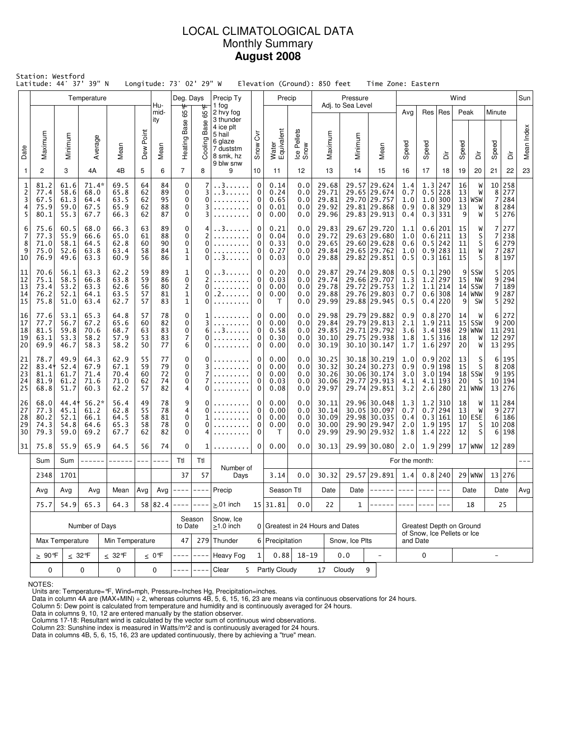# LOCAL CLIMATOLOGICAL DATA Monthly Summary **August 2008**

|                                     | Station: Westford<br>Latitude: 44° 37' 39" N<br>Longitude: 73° 02' 29" W<br>Elevation (Ground): 850 feet<br>Time Zone: Eastern<br>Precip<br>Pressure<br>Wind<br>Temperature<br>Deg. Days<br>Precip Ty |                                       |                                         |                                                                    |                            |                            |                                                     |                       |                                                |                       |                                      |                                 |                                           |                   |                                                                              |                                         |                          |                                                                    |                                  |                                           |                                      |                                      |            |
|-------------------------------------|-------------------------------------------------------------------------------------------------------------------------------------------------------------------------------------------------------|---------------------------------------|-----------------------------------------|--------------------------------------------------------------------|----------------------------|----------------------------|-----------------------------------------------------|-----------------------|------------------------------------------------|-----------------------|--------------------------------------|---------------------------------|-------------------------------------------|-------------------|------------------------------------------------------------------------------|-----------------------------------------|--------------------------|--------------------------------------------------------------------|----------------------------------|-------------------------------------------|--------------------------------------|--------------------------------------|------------|
|                                     |                                                                                                                                                                                                       |                                       |                                         |                                                                    |                            | Hu-                        |                                                     |                       | 1 fog                                          |                       |                                      |                                 |                                           | Adj. to Sea Level |                                                                              |                                         |                          |                                                                    |                                  |                                           |                                      |                                      | Sun        |
|                                     |                                                                                                                                                                                                       |                                       |                                         |                                                                    |                            | mid-<br>ity                | ₩<br>Heating Base 65                                | 65°F<br>Base          | 2 hvy fog<br>3 thunder<br>4 ice plt<br>5 hail  | $\bar{\eth}$          |                                      |                                 |                                           |                   |                                                                              | Avg                                     |                          | Res   Res                                                          | Peak                             |                                           | Minute                               |                                      |            |
| Date                                | Maximum                                                                                                                                                                                               | Minimum                               | Average                                 | Mean                                                               | Dew Point                  | Mean                       |                                                     | Cooling I             | 6 glaze<br>7 duststm<br>8 smk, hz<br>9 blw snw | Snow                  | Water<br>Equivalent                  | Ice Pellets<br>Snow             | Maximum                                   | Minimum           | Mean                                                                         | Speed                                   | Speed                    | έ                                                                  | Speed                            | ä                                         | Speed                                | ă                                    | Mean Index |
| $\mathbf{1}$                        | $\overline{c}$                                                                                                                                                                                        | 3                                     | 4A                                      | 4B                                                                 | 5                          | 6                          | $\overline{7}$                                      | 8                     | 9                                              | 10                    | 11                                   | 12                              | 13                                        | 14                | 15                                                                           | 16                                      | 17                       | 18                                                                 | 19                               | 20                                        | 21                                   | 22                                   | 23         |
| 1<br>$\overline{c}$<br>3<br>4<br>5  | 81.2<br>77.4<br>67.5<br>75.9<br>80.1                                                                                                                                                                  | 61.6<br>58.6<br>61.3<br>59.0<br>55.3  | $71.4*$<br>68.0<br>64.4<br>67.5<br>67.7 | 69.5<br>65.8<br>63.5<br>65.9<br>66.3                               | 64<br>62<br>62<br>62<br>62 | 84<br>89<br>95<br>88<br>87 | 0<br>$\mathbf 0$<br>$\mathbf 0$<br>0<br>0           | 7<br>3<br>0<br>3<br>3 | . . 3.<br>. . 3.                               | 0<br>0<br>0<br>0<br>0 | 0.14<br>0.24<br>0.65<br>0.01<br>0.00 | 0.0<br>0.0<br>0.0<br>0.0<br>0.0 | 29.68<br>29.71<br>29.81<br>29.92<br>29.96 |                   | 29.57 29.624<br>29.65 29.674<br>29.70 29.757<br>29.81 29.868<br>29.83 29.913 | 1.4<br>0.7<br>1.0<br>0.9<br>0.4         |                          | 1.3 247<br>$0.5$ 228<br>1.0 300<br>$0.8$ 329<br>0.3 331            | 16<br>13<br>13<br>9              | W<br>W<br>$13 $ WSW<br>W<br>W             | 8 <sup>1</sup><br>7<br>8             | 10 258<br>277<br>284<br>284<br>5 276 |            |
| 6<br>$\overline{7}$<br>8<br>9<br>10 | 75.6<br>77.3<br>71.0<br>75.0<br>76.9                                                                                                                                                                  | 60.5<br>55.9<br>58.1<br>52.6<br>49.6  | 68.0<br>66.6<br>64.5<br>63.8<br>63.3    | 66.3<br>65.0<br>62.8<br>63.4<br>60.9                               | 63<br>61<br>60<br>58<br>56 | 89<br>88<br>90<br>84<br>86 | 0<br>$\mathbf 0$<br>$\mathbf 0$<br>1<br>$\mathbf 1$ | 4<br>2<br>0<br>0<br>0 | . 3.<br>. . 3.                                 |                       | 0.21<br>0.04<br>0.33<br>0.27<br>0.03 | 0.0<br>0.0<br>0.0<br>0.0<br>0.0 | 29.83<br>29.72<br>29.65<br>29.84<br>29.88 |                   | 29.67 29.720<br>29.63 29.680<br>29.60 29.628<br>29.65 29.762<br>29.82 29.851 | 1.1<br>1.0<br>0.6<br>1.0<br>0.5         |                          | 0.6 201<br>0.6 211<br>$0.5$ 242<br>$0.9$   283<br>0.3 161          | 15<br>13<br>11<br>11<br>15       | W<br>S<br>$\sf S$<br>W<br>S               | $\overline{7}$<br>7<br>6<br>7<br>8   | 277<br>238<br>279<br>287<br>197      |            |
| 11<br>12<br>13<br>14<br>15          | 70.6<br>75.1<br>73.4<br>76.2<br>75.8                                                                                                                                                                  | 56.1<br>58.5<br>53.2<br>52.1<br>51.0  | 63.3<br>66.8<br>63.3<br>64.1<br>63.4    | 62.2<br>63.8<br>62.6<br>63.5<br>62.7                               | 59<br>59<br>56<br>57<br>57 | 89<br>86<br>80<br>81<br>83 | 1<br>$\pmb{0}$<br>$\mathbf 1$<br>$\mathbf 1$        | 0<br>2<br>0<br>0<br>0 | . 3<br>. 2                                     | 0<br>0<br>0<br>0<br>0 |                                      | 0.0<br>0.0<br>0.0<br>0.0<br>0.0 | 29.87<br>29.74<br>29.78<br>29.88<br>29.99 |                   | 29.74 29.808<br>29.66 29.707<br>29.72 29.753<br>29.76 29.803<br>29.88 29.945 | 0.5<br>1.3<br>1.2<br>0.7<br>0.5         |                          | $0.1$   290<br>$1.2$  297<br>$1.1$   214<br>$0.6$   308<br>0.4 220 | $\overline{9}$<br>15<br>14 <br>9 | SSW<br>NW<br><b>SSW</b><br>$14$ WNW<br>SW | 5.<br>9<br>7<br>9<br>5               | 205<br>294<br>189<br>287<br>292      |            |
| 16<br>17<br>18<br>19<br>20          | 77.6<br>77.7<br>81.5<br>63.1<br>69.9                                                                                                                                                                  | 53.1<br>56.7<br>59.8<br>53.3<br>46.7  | 65.3<br>67.2<br>70.6<br>58.2<br>58.3    | 64.8<br>65.6<br>68.7<br>57.9<br>58.2                               | 57<br>60<br>63<br>53<br>50 | 78<br>82<br>83<br>83<br>77 | $\mathbf 0$<br>$\mathbf 0$<br>$\pmb{0}$<br>7<br>6   | 1<br>3<br>6<br>0<br>0 | . . 3                                          | 0<br>0<br>0<br>0<br>0 |                                      | 0.0<br>0.0<br>0.0<br>0.0<br>0.0 | 29.98<br>29.84<br>29.85<br>30.10<br>30.19 |                   | 29.79 29.882<br>29.79 29.813<br>29.71 29.792<br>29.75 29.938<br>30.10 30.147 | 0.9<br>2.1<br>3.6<br>1.8<br>1.7         |                          | 0.8 270<br>1.9 211<br>3.4 198<br>$1.5$ 316<br>1.6 297              | 14<br>15 <br>18<br>20            | W<br>SSW<br>$29$ WNW<br>W<br>W            | 6<br>9<br>11<br>12                   | 272<br>200<br>291<br>297<br>13 295   |            |
| 21<br>22<br>23<br>24<br>25          | 78.7<br>$83.4*$<br>81.1<br>81.9<br>68.8                                                                                                                                                               | 49.9<br>52.4<br>61.7<br>61.2<br>51.7  | 64.3<br>67.9<br>71.4<br>71.6<br>60.3    | 62.9<br>67.1<br>70.4<br>71.0<br>62.2                               | 55<br>59<br>60<br>62<br>57 | 77<br>79<br>72<br>74<br>82 | 0<br>$\mathbf 0$<br>$\mathbf 0$<br>$\mathbf 0$<br>4 | 0<br>3<br>7<br>7<br>0 |                                                | 0<br>0<br>0<br>0<br>0 | 0.00<br>0.00<br>0.00<br>0.03<br>0.08 | 0.0<br>0.0<br>0.0<br>0.0<br>0.0 | 30.25<br>30.32<br>30.26<br>30.06<br>29.97 |                   | 30.18 30.219<br>30.24 30.273<br>30.06 30.174<br>29.77 29.913<br>29.74 29.851 | 1.0<br>0.9<br>3.0<br>4.1<br>3.2         |                          | 0.9 202<br>0.9 198<br>3.0 194<br>$4.1$   193<br>$2.6$ 280          | 13<br>15<br>20                   | S<br>S<br>$18$ SSW<br>S<br>$21$ WNW       | 6<br>8<br>9<br>10 <sup>1</sup>       | 195<br>208<br>195<br>194<br>13 276   |            |
| 26<br>27<br>28<br>29<br>30          | 68.0<br>77.3<br>80.2<br>74.3<br>79.3                                                                                                                                                                  | 44.4*<br>45.1<br>52.1<br>54.8<br>59.0 | $56.2*$<br>61.2<br>66.1<br>64.6<br>69.2 | 56.4<br>49<br>62.8<br>55<br>58<br>64.5<br>58<br>65.3<br>67.7<br>62 |                            | 78<br>78<br>81<br>78<br>82 | 9<br>4<br>$\mathbf 0$<br>0<br>0                     | 0<br>0<br>1<br>0<br>4 |                                                | 0<br>0<br>0<br>0<br>0 | 0.00<br>0.00<br>0.00<br>0.00<br>T    | 0.0<br>0.0<br>0.0<br>0.0<br>0.0 | 30.11<br>30.14<br>30.09<br>30.00<br>29.99 |                   | 29.96 30.048<br>30.05 30.097<br>29.98 30.035<br>29.90 29.947<br>29.90 29.932 | 1.3<br>0.7<br>0.4<br>2.0<br>1.8         |                          | $1.2$   310<br>$0.7$  294<br>0.3 161<br>1.9 195<br>$1.4$ 222       | 18<br>13<br>17<br>12             | W<br>W<br>$10$ ESE<br>S<br>S              | 11<br>9<br>6<br>10 <sup>1</sup><br>6 | 284<br>277<br>186<br>208<br>198      |            |
| 31                                  | 75.8                                                                                                                                                                                                  | 55.9                                  | 65.9                                    | 64.5                                                               | 56                         | 74                         | 0                                                   | 1                     | .                                              | $\overline{0}$        | 0.00                                 | 0.0                             | 30.13                                     |                   | 29.99 30.080                                                                 | 2.0                                     |                          | $1.9$   299                                                        |                                  | $17$ WNW                                  |                                      | 12 289                               |            |
|                                     | Sum                                                                                                                                                                                                   | Sum                                   | ------                                  | ------                                                             | $---$                      | ----                       | Ttl                                                 | Ttl                   | Number of                                      |                       |                                      |                                 |                                           |                   |                                                                              | For the month:                          |                          |                                                                    |                                  |                                           |                                      |                                      |            |
|                                     | 2348                                                                                                                                                                                                  | 1701                                  |                                         |                                                                    |                            |                            | 37                                                  | 57                    | Days                                           |                       | 3.14                                 | 0.0                             | 30.32                                     |                   | 29.57 29.891                                                                 | 1.4                                     |                          | $0.8$  240                                                         |                                  | $29$ WNW                                  |                                      | 13 276                               |            |
|                                     | Avg                                                                                                                                                                                                   | Avg                                   | Avg                                     | Mean                                                               | Avg                        | Avg                        | $- - - - -$                                         | $- - - -$             | Precip                                         |                       | Season Ttl                           |                                 | Date                                      | Date              |                                                                              |                                         |                          |                                                                    |                                  | Date                                      |                                      | Date                                 | Avg        |
|                                     | 75.7                                                                                                                                                                                                  | 54.9                                  | 65.3                                    | 64.3                                                               |                            | 58 82.4                    |                                                     | Season                | $\geq$ .01 inch<br>Snow, Ice                   |                       | 15 31.81                             | 0.0                             | 22                                        | $\mathbf{1}$      |                                                                              |                                         |                          |                                                                    |                                  | 18                                        |                                      | 25                                   |            |
|                                     |                                                                                                                                                                                                       |                                       | Number of Days                          |                                                                    |                            |                            | to Date                                             |                       | $\geq$ 1.0 inch                                |                       |                                      |                                 | 0 Greatest in 24 Hours and Dates          |                   |                                                                              |                                         | Greatest Depth on Ground |                                                                    |                                  |                                           |                                      |                                      |            |
|                                     |                                                                                                                                                                                                       | Max Temperature                       |                                         | Min Temperature                                                    |                            |                            | 47                                                  |                       | 279 Thunder                                    |                       | 6 Precipitation                      |                                 |                                           | Snow, Ice Plts    |                                                                              | of Snow, Ice Pellets or Ice<br>and Date |                          |                                                                    |                                  |                                           |                                      |                                      |            |
|                                     | $\geq 90$ °F                                                                                                                                                                                          |                                       | $\leq 32^{\circ}$ F                     | $\leq 32$ °F                                                       |                            | $\leq 0$ °F                |                                                     | $- - - -$             | <b>Heavy Fog</b>                               | $\mathbf{1}$          | 0.88                                 | $18 - 19$                       |                                           | 0.0               | $\bar{\phantom{a}}$                                                          |                                         | 0                        |                                                                    |                                  |                                           | $\overline{\phantom{a}}$             |                                      |            |
|                                     | $\mathbf 0$<br>$\mathbf 0$<br>0<br>0<br>Clear<br>17 Cloudy<br>9<br>5<br>Partly Cloudy<br>$- - - -$                                                                                                    |                                       |                                         |                                                                    |                            |                            |                                                     |                       |                                                |                       |                                      |                                 |                                           |                   |                                                                              |                                         |                          |                                                                    |                                  |                                           |                                      |                                      |            |

NOTES:

Units are: Temperature=°F, Wind=mph, Pressure=Inches Hg, Precipitation=inches. Data in column 4A are (MAX+MIN) ÷ 2, whereas columns 4B, 5, 6, 15, 16, 23 are means via continuous observations for 24 hours.

Column 5: Dew point is calculated from temperature and humidity and is continuously averaged for 24 hours. Data in columns 9, 10, 12 are entered manually by the station observer.

Columns 17-18: Resultant wind is calculated by the vector sum of continuous wind observations.<br>Column 23: Sunshine index is measured in Watts/m^2 and is continuously averaged for 24 hours.<br>Data in columns 4B, 5, 6, 15, 16,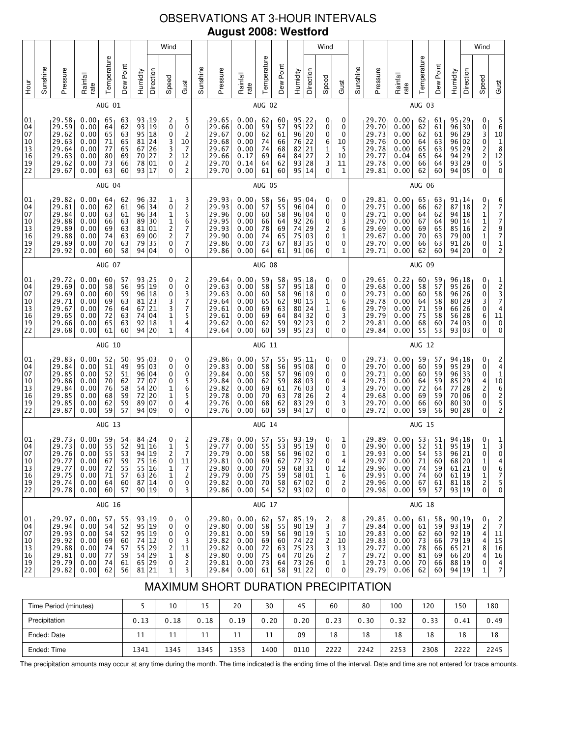# OBSERVATIONS AT 3-HOUR INTERVALS **August 2008: Westford**

|                                                                             |          |                                                                      | Wind                                                                      |                                              |                                              |                                              |                                                                                                                                                                        |                                                                             |                                                                                    |          | Wind                                                                 |                                                              |                                              |                                              |                                                                                                     |           |                                                            |                                                                           |          | Wind                                                                 |                                                                           |                                                           |                                              |                                  |                                                                                                          |                                                                                   |                                                                                                       |
|-----------------------------------------------------------------------------|----------|----------------------------------------------------------------------|---------------------------------------------------------------------------|----------------------------------------------|----------------------------------------------|----------------------------------------------|------------------------------------------------------------------------------------------------------------------------------------------------------------------------|-----------------------------------------------------------------------------|------------------------------------------------------------------------------------|----------|----------------------------------------------------------------------|--------------------------------------------------------------|----------------------------------------------|----------------------------------------------|-----------------------------------------------------------------------------------------------------|-----------|------------------------------------------------------------|---------------------------------------------------------------------------|----------|----------------------------------------------------------------------|---------------------------------------------------------------------------|-----------------------------------------------------------|----------------------------------------------|----------------------------------|----------------------------------------------------------------------------------------------------------|-----------------------------------------------------------------------------------|-------------------------------------------------------------------------------------------------------|
| Hour                                                                        | Sunshine | Pressure                                                             | Rainfall<br>rate                                                          | Temperature                                  | Dew Point                                    | Humidity                                     | Direction                                                                                                                                                              | Speed                                                                       | Gust                                                                               | Sunshine | Pressure                                                             | Rainfall<br>rate                                             | Temperature                                  | Dew Point                                    | Humidity                                                                                            | Direction | Speed                                                      | Gust                                                                      | Sunshine | Pressure                                                             | Rainfall<br>rate                                                          | Temperature                                               | Dew Point                                    | Humidity                         | Direction                                                                                                | Speed                                                                             | Gust                                                                                                  |
|                                                                             |          |                                                                      |                                                                           | AUG 01                                       |                                              |                                              |                                                                                                                                                                        |                                                                             |                                                                                    |          |                                                                      |                                                              | AUG 02                                       |                                              |                                                                                                     |           |                                                            |                                                                           |          |                                                                      |                                                                           | AUG 03                                                    |                                              |                                  |                                                                                                          |                                                                                   |                                                                                                       |
| 01<br>04<br>07<br>10<br>$\begin{array}{c} 13 \\ 16 \end{array}$<br>19<br>22 |          | 29.58<br>29.59<br>29.62<br>29.63<br>29.64<br>29.63<br>29.62<br>29.67 | 0.00<br>0.00<br>0.00<br>0.00<br>0.00<br>0.00<br>0.00<br>0.00              | 65<br>64<br>65<br>71<br>77<br>80<br>73<br>63 | 63<br>62<br>63<br>65<br>65<br>69<br>66<br>60 | 78<br>93                                     | 93 19<br>$\begin{array}{c} 93 \overline{)19} \\ 95 \overline{)18} \\ 81 \overline{)24} \end{array}$<br>$\begin{array}{c c} 67 & 26 \\ 70 & 27 \end{array}$<br>01<br>17 | 2<br>0<br>0<br>3<br>3<br>2<br>0<br>0                                        | 5<br>0<br>$\overline{\mathbf{c}}$<br>10<br>7<br>12<br>$\overline{\mathbf{c}}$<br>2 |          | 29.65<br>29.66<br>29.67<br>29.68<br>29.67<br>29.66<br>29.70<br>29.70 | 0.00<br>0.00<br>0.00<br>0.00<br>0.00<br>0.17<br>0.14<br>0.00 | 62<br>59<br>62<br>74<br>74<br>69<br>64<br>61 | 60<br>57<br>61<br>66<br>68<br>64<br>62<br>60 | $\begin{array}{c c} 95 & 22 \\ 95 & 22 \end{array}$<br>96 20<br>76 22<br>82 21<br>84<br>93 28<br>95 | 27<br>14  | 0<br>0<br>0<br>6<br>1<br>$\overline{\mathbf{c}}$<br>3<br>0 | 0<br>0<br>0<br>10<br>5<br>10<br>11<br>1                                   |          | 29.70<br>29.70<br>29.73<br>29.76<br>29.78<br>29.77<br>29.78<br>29.81 | 0.00<br>0.00<br>0.00<br>0.00<br>0.00<br>0.04<br>0.00<br>0.00              | 62<br>62<br>62<br>64<br>65<br>65<br>66<br>62              | 61<br>61<br>61<br>63<br>63<br>64<br>64<br>60 | 96<br>93<br>94                   | 95   29<br>30<br>96 29<br>96 02<br>$\begin{array}{ c c }\n 95 & 29 \\  94 & 29\n\end{array}$<br>29<br>05 | 0<br>030220<br>0                                                                  | $\begin{array}{c} 5 \\ 6 \end{array}$<br>$\begin{array}{c} 10 \\ 1 \\ 8 \\ 12 \\ 5 \\ 0 \end{array}$  |
|                                                                             |          |                                                                      |                                                                           | AUG 04                                       |                                              |                                              |                                                                                                                                                                        |                                                                             |                                                                                    |          |                                                                      |                                                              | <b>AUG 05</b>                                |                                              |                                                                                                     |           |                                                            |                                                                           |          |                                                                      |                                                                           | <b>AUG 06</b>                                             |                                              |                                  |                                                                                                          |                                                                                   |                                                                                                       |
| 01<br>04<br>07<br>$\begin{array}{c} 10 \\ 13 \end{array}$<br>16<br>19<br>22 |          | 29.82<br>29.81<br>29.84<br>29.88<br>29.89<br>29.88<br>29.89<br>29.92 | 0.00<br>0.00<br>0.00<br>0.00<br>0.00<br>0.00<br>0.00<br>0.00              | 64<br>62<br>63<br>66<br>69<br>74<br>70<br>60 | 62<br>61<br>61<br>63<br>63<br>63<br>63<br>58 | 96<br>96<br>96<br>89<br>81<br>69<br>79<br>94 | $\frac{32}{34}$<br>34<br>30<br>01<br>00<br>35<br>04                                                                                                                    | 1<br>0<br>$\mathbf 1$<br>$\frac{1}{2}$<br>$\overline{\mathbf{c}}$<br>0<br>0 | $\frac{3}{2}$<br>5<br>6<br>7<br>7<br>7<br>0                                        |          | 29.93<br>29.93<br>29.96<br>29.95<br>29.93<br>29.90<br>29.86<br>29.86 | 0.00<br>0.00<br>0.00<br>0.00<br>0.00<br>0.00<br>0.00<br>0.00 | 58<br>57<br>60<br>66<br>78<br>74<br>73<br>64 | 56<br>55<br>58<br>64<br>69<br>65<br>67<br>61 | 95   04<br>96 04<br>96 04<br>92 26<br>74 29<br>75 03<br>83<br>91 06                                 | 35        | 0<br>0<br>0<br>0<br>2<br>0<br>0<br>0                       | 0<br>0<br>0<br>3<br>6<br>1<br>0<br>1                                      |          | 29.81<br>29.75<br>29.71<br>29.70<br>29.69<br>29.67<br>29.70<br>29.71 | 0.000000<br>0.00<br>0.00<br>0.00<br>0.00<br>0.00<br>0.00                  | 65<br>66<br>64<br>67<br>69<br>70<br>66<br>62              | 63<br>62<br>62<br>64<br>65<br>63<br>63<br>60 | 87<br>94<br>90<br>79<br>91<br>94 | 91 14<br> 18<br> 18<br> 14<br>85 16<br>00<br>26<br>20                                                    | 021121<br>0<br>0                                                                  | 6777971<br>$\mathsf{2}$                                                                               |
|                                                                             | AUG 07   |                                                                      |                                                                           |                                              |                                              |                                              |                                                                                                                                                                        |                                                                             |                                                                                    |          |                                                                      | <b>AUG 08</b>                                                |                                              |                                              |                                                                                                     |           |                                                            |                                                                           |          |                                                                      | <b>AUG 09</b>                                                             |                                                           |                                              |                                  |                                                                                                          |                                                                                   |                                                                                                       |
| 01<br>04<br>07<br>10<br>13<br>16<br>19<br>22                                |          | 29.72<br>29.69<br>29.69<br>29.71<br>29.67<br>29.65<br>29.66<br>29.68 | 0.00<br>0.00<br>0.00<br>0.00<br>0.00<br>0.00<br>0.00<br>0.00              | 60<br>58<br>60<br>69<br>76<br>72<br>65<br>61 | 57<br>56<br>59<br>63<br>64<br>63<br>63<br>60 | 67<br>74<br>92<br>94                         | $\frac{93}{95}$ $\Big  \frac{25}{19}$<br>$\begin{array}{c c} 96 & 18 \\ 81 & 23 \end{array}$<br>21<br>04<br>18<br>20                                                   | 0<br>0<br>0<br>3<br>3 1 1 1                                                 | 2<br>0<br>$\frac{3}{7}$<br>7<br>5<br>4<br>4                                        |          | 29.64<br>29.63<br>29.63<br>29.64<br>29.61<br>29.61<br>29.62<br>29.64 | 0.00<br>0.00<br>0.00<br>0.00<br>0.00<br>0.00<br>0.00<br>0.00 | 59<br>58<br>60<br>65<br>69<br>69<br>62<br>60 | 58<br>57<br>58<br>62<br>63<br>64<br>59<br>59 | $95 + 18$<br>95 18<br>96 18<br>90 15<br>80 24<br>84<br>92<br>95 23                                  | 32<br>23  | 0<br>0<br>0<br>1<br>1<br>0<br>0<br>0                       | 0<br>0<br>0<br>6<br>6<br>3<br>2<br>0                                      |          | 29.65<br>29.68<br>29.73<br>29.78<br>29.79<br>29.79<br>29.81<br>29.84 | 0.22<br>0.00<br>0.00<br>0.00<br>0.00<br>0.00<br>0.00<br>0.00              | 60<br>58<br>60<br>64<br>71<br>75<br>68<br>55              | 59<br>57<br>58<br>58<br>59<br>58<br>60<br>53 | 80<br>56<br>74                   | $96 \mid 18$<br>95 26<br>96 26<br>29<br>66 26<br>28<br>03<br>93 03                                       | 0<br>0<br>$\begin{array}{c} 0 \\ 3 \end{array}$<br>0<br>6<br>0<br>0               | $\begin{array}{c} 1 \\ 2 \\ 3 \\ 7 \\ 4 \\ 11 \end{array}$<br>$\pmb{0}$<br>0                          |
|                                                                             |          |                                                                      |                                                                           | AUG 10                                       |                                              |                                              |                                                                                                                                                                        |                                                                             |                                                                                    |          |                                                                      |                                                              | AUG 11                                       |                                              |                                                                                                     |           |                                                            |                                                                           |          |                                                                      |                                                                           | AUG 12                                                    |                                              |                                  |                                                                                                          |                                                                                   |                                                                                                       |
| 01<br>04<br>07<br>10<br>13<br>16<br>19<br>22                                |          | 29.83<br>29.84<br>29.85<br>29.86<br>29.84<br>29.85<br>29.85<br>29.87 | 0.00<br>0.00<br>0.00<br>0.00<br>0.00<br>0.00<br>0.00<br>0.00              | 52<br>51<br>52<br>70<br>76<br>68<br>62<br>59 | 50<br>49<br>51<br>62<br>58<br>59<br>59<br>57 | 95<br>96<br>77<br>54<br>72<br>89             | 95 03<br>03<br>04<br>07<br>20<br>20<br>07<br>94 09                                                                                                                     | 0<br>0<br>0<br>0<br>$\mathbf{1}$<br>$\mathbf{1}$<br>0<br>0                  | 0<br>0<br>0<br>5<br>6<br>5<br>4<br>0                                               |          | 29.86<br>29.83<br>29.84<br>29.84<br>29.82<br>29.78<br>29.76<br>29.76 | 0.00<br>0.00<br>0.00<br>0.00<br>0.00<br>0.00<br>0.00<br>0.00 | 57<br>58<br>58<br>62<br>69<br>70<br>68<br>60 | 55<br>56<br>57<br>59<br>61<br>63<br>62<br>59 | $95_111$<br>95 08<br>96 09<br>88 03<br>76 03<br>78 26<br>83 29<br>94 17                             |           | 0<br>0<br>0<br>0<br>0<br>2<br>0<br>0                       | 0<br>0<br>0<br>4<br>3<br>4<br>3<br>0                                      |          | 29.73<br>29.70<br>29.71<br>29.73<br>29.70<br>29.68<br>29.70<br>29.72 | 0.00<br>0.00<br>0.00<br>0.00<br>0.00<br>0.00<br>0.00<br>0.00              | 59<br>60<br>60<br>64<br>72<br>69<br>66<br>59              | 57<br>59<br>59<br>59<br>64<br>59<br>60<br>56 | 95<br>85<br>77<br>70<br>80       | $94 \mid 18$<br>29<br>96 33<br>29<br>28<br>06<br>30<br>90 28                                             | 0<br>0<br>0<br>$\begin{array}{c} 4 \\ 2 \\ 0 \end{array}$<br>0<br>0               | $\begin{array}{c} 2 \\ 4 \\ 1 \end{array}$<br>$\begin{array}{c}\n10 \\ 6 \\ 2 \\ 5 \\ 2\n\end{array}$ |
|                                                                             |          |                                                                      |                                                                           | AUG 13                                       |                                              |                                              |                                                                                                                                                                        |                                                                             |                                                                                    |          |                                                                      |                                                              | AUG 14                                       |                                              |                                                                                                     |           |                                                            |                                                                           |          |                                                                      |                                                                           | <b>AUG 15</b>                                             |                                              |                                  |                                                                                                          |                                                                                   |                                                                                                       |
| 01<br>04<br>07<br>10<br>13<br>16<br>19<br>22                                |          | 29.73<br>29.73<br>29.76<br>29.77<br>29.77<br>29.75<br>29.74<br>29.78 | 0.00<br>0.00<br>0.00<br>0.00<br>0.00<br>0.00<br>0.00<br>0.00              | 59<br>55<br>55<br>67<br>72<br>71<br>64<br>60 | 54<br>52<br>53<br>59<br>55<br>57<br>60<br>57 |                                              | $\begin{array}{ c} 84 & 24 \\ 91 & 16 \end{array}$<br>94 19<br>75 16<br>55 16<br>63 26<br>87 14<br>90 19                                                               | $\begin{smallmatrix} 0\\1\\2 \end{smallmatrix}$<br>0<br>1<br>1<br>0<br>0    | 2<br>5<br>7<br>11<br>7<br>2<br>0<br>3                                              |          | 29.78<br>29.77<br>29.79<br>29.81<br>29.80<br>29.79<br>29.82<br>29.86 | 0.00<br>0.00<br>0.00<br>0.00<br>0.00<br>0.00<br>0.00<br>0.00 | 57<br>55<br>58<br>69<br>70<br>75<br>70<br>54 | 55<br>53<br>56<br>62<br>59<br>59<br>58<br>52 | $\frac{93}{95}$ $\left \frac{19}{19}\right $<br>96 02<br>77 32<br>68 31<br>58 01<br>67 02<br>93 02  |           | 0<br>0<br>0<br>0<br>0<br>1<br>0<br>0                       | $\begin{matrix}1\0\end{matrix}$<br>$\mathbf{1}$<br>4<br>12<br>6<br>2<br>0 |          | 29.89<br>29.90<br>29.93<br>29.97<br>29.96<br>29.95<br>29.96<br>29.98 | 0.00<br>0.00<br>0.00<br>0.00<br>0.00<br>0.00<br>0.00<br>0.00              | 53<br>52<br>54<br>71<br>74<br>74<br>67<br>59              | 51<br>51<br>53<br>60<br>59<br>60<br>61<br>57 |                                  | $\frac{94}{95}$ $\left  \frac{18}{19} \right $<br>96 21<br>68 20<br>61 21<br>61 19<br>81 18<br>93 19     | $\begin{smallmatrix}0\1\end{smallmatrix}$<br>$\mathbf 0$<br>1<br>0<br>1<br>2<br>0 | $\frac{1}{3}$<br>4<br>6<br>$\begin{array}{c} 7 \\ 5 \end{array}$<br>0                                 |
|                                                                             |          |                                                                      |                                                                           | <b>AUG 16</b>                                |                                              |                                              |                                                                                                                                                                        |                                                                             |                                                                                    |          |                                                                      |                                                              | AUG 17                                       |                                              |                                                                                                     |           |                                                            |                                                                           |          |                                                                      |                                                                           | AUG 18                                                    |                                              |                                  |                                                                                                          |                                                                                   |                                                                                                       |
| 01<br>04<br>07<br>10<br>13<br>16<br>19<br>22                                |          | 29.97<br>29.94<br>29.93<br>29.92<br>29.88<br>29.81<br>29.79<br>29.82 | 0.00 <sub>1</sub><br>0.00<br>0.00<br>0.00<br>0.00<br>0.00<br>0.00<br>0.00 | 57<br>54<br>54<br>69<br>74<br>77<br>74<br>62 | 55<br>52<br>52<br>60<br>57<br>59<br>61<br>56 |                                              | 93 19<br>95 19<br>95 19<br>74 12<br>55 29<br>$54$ 29<br>65 29<br>81 21                                                                                                 | 0<br>0<br>0<br>0<br>2<br>$1\,$<br>0<br>1                                    | 0<br>0<br>0<br>3<br>11<br>8<br>2<br>3                                              |          | 29.80<br>29.80<br>29.81<br>29.82<br>29.82<br>29.80<br>29.81<br>29.84 | 0.00<br>0.00<br>0.00<br>0.00<br>0.00<br>0.00<br>0.00<br>0.00 | 62<br>58<br>59<br>69<br>72<br>75<br>73<br>61 | 57<br>55<br>56<br>60<br>63<br>64<br>64<br>58 | 85 19<br>90 19<br>90 19<br>74 22<br>75 23<br>70 26<br>73 26<br>91 22                                |           | 2<br>3<br>5<br>2<br>3<br>2<br>0<br>0                       | 8<br>7<br>10<br>10<br>13<br>7<br>1<br>0                                   |          | 29.85<br>29.84<br>29.83<br>29.83<br>29.77<br>29.72<br>29.73<br>29.79 | 0.00 <sub>1</sub><br>0.00<br>0.00<br>0.00<br>0.00<br>0.00<br>0.00<br>0.06 | 61 <sub>1</sub><br>61<br>62<br>73<br>78<br>81<br>70<br>62 | 58<br>59<br>60<br>66<br>66<br>69<br>66<br>60 |                                  | 90, 19<br>93 19<br>92 19<br>79 19<br>65 21<br>66 20<br>88 19<br>94 19                                    | 0<br>2<br>4<br>4<br>8<br>4<br>0<br>1                                              | $\overline{c}$<br>$\overline{7}$<br>11<br>15<br>16<br>16<br>$\frac{4}{7}$                             |

# MAXIMUM SHORT DURATION PRECIPITATION

| Time Period (minutes) |      | 10   | 15   | 20   | 30   | 45   | 60   | 80   | 100  | 120  | 150  | 180  |
|-----------------------|------|------|------|------|------|------|------|------|------|------|------|------|
| Precipitation         | 0.13 | 0.18 | 0.18 | 0.19 | 0.20 | 0.20 | 0.23 | 0.30 | 0.32 | 0.33 | 0.41 | 0.49 |
| Ended: Date           | 11   | 11   | 11   | 11   | 11   | 09   | 18   | 18   | 18   | 18   | 18   | 18   |
| Ended: Time           | 1341 | 1345 | 1345 | 1353 | 1400 | 0110 | 2222 | 2242 | 2253 | 2308 | 2222 | 2245 |

The precipitation amounts may occur at any time during the month. The time indicated is the ending time of the interval. Date and time are not entered for trace amounts.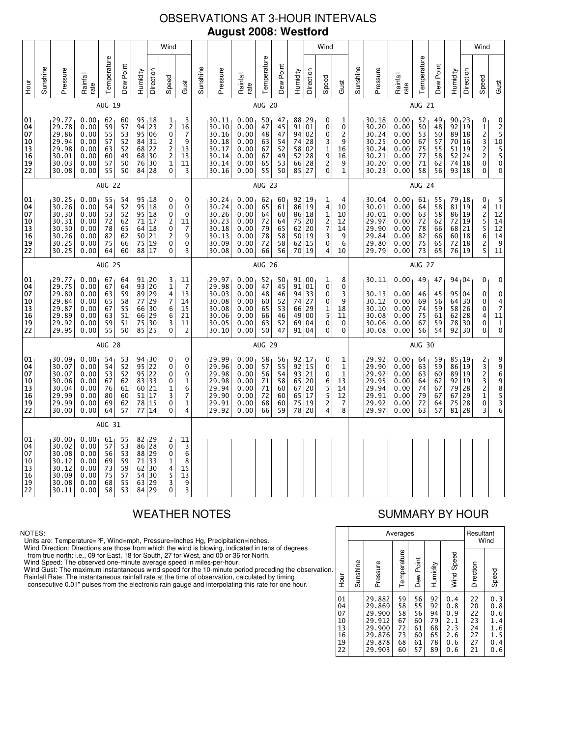# OBSERVATIONS AT 3-HOUR INTERVALS **August 2008: Westford**

|                                                                             | Wind                                                                                                                                                                                                                                                                                                                                                                                                                                                                   |                                                                      |                                                              |                                              |                                              |                                             |                                                                  |                                                                         |                                                                      |                                                              |                                                                      |                                                              |                                                              |                                                                                    |                                                    | Wind                                                                  |                                                                         |                                                                      |                                                              |                                                                      |                                                              |                                                                              |                                              |                                                                 | Wind                                                  |                                                                                       |                                                                                                                                              |
|-----------------------------------------------------------------------------|------------------------------------------------------------------------------------------------------------------------------------------------------------------------------------------------------------------------------------------------------------------------------------------------------------------------------------------------------------------------------------------------------------------------------------------------------------------------|----------------------------------------------------------------------|--------------------------------------------------------------|----------------------------------------------|----------------------------------------------|---------------------------------------------|------------------------------------------------------------------|-------------------------------------------------------------------------|----------------------------------------------------------------------|--------------------------------------------------------------|----------------------------------------------------------------------|--------------------------------------------------------------|--------------------------------------------------------------|------------------------------------------------------------------------------------|----------------------------------------------------|-----------------------------------------------------------------------|-------------------------------------------------------------------------|----------------------------------------------------------------------|--------------------------------------------------------------|----------------------------------------------------------------------|--------------------------------------------------------------|------------------------------------------------------------------------------|----------------------------------------------|-----------------------------------------------------------------|-------------------------------------------------------|---------------------------------------------------------------------------------------|----------------------------------------------------------------------------------------------------------------------------------------------|
| 들<br>오                                                                      | Sunshine                                                                                                                                                                                                                                                                                                                                                                                                                                                               | Pressure                                                             | Rainfall<br>rate                                             | Temperature                                  | Dew Point                                    | Humidity                                    | Direction                                                        | Speed                                                                   | Gust                                                                 | Sunshine                                                     | Pressure                                                             | Rainfall<br>rate                                             | Temperature                                                  | Dew Point                                                                          | Humidity                                           | Direction                                                             | Speed                                                                   | Gust                                                                 | Sunshine                                                     | Pressure                                                             | Rainfall<br>rate                                             | Temperature                                                                  | Dew Point                                    | Humidity                                                        | Direction                                             | Speed                                                                                 | Gust                                                                                                                                         |
|                                                                             |                                                                                                                                                                                                                                                                                                                                                                                                                                                                        |                                                                      |                                                              | <b>AUG 19</b>                                |                                              |                                             |                                                                  |                                                                         |                                                                      |                                                              |                                                                      |                                                              | <b>AUG 20</b>                                                |                                                                                    |                                                    |                                                                       |                                                                         |                                                                      |                                                              |                                                                      |                                                              | <b>AUG 21</b>                                                                |                                              |                                                                 |                                                       |                                                                                       |                                                                                                                                              |
| 01<br>04<br>07<br>10<br>$\overline{13}$<br>$\overline{16}$<br>19<br>22      | 29.77<br>0.00<br>95 18<br>62<br>60<br>1<br>2<br>0<br>$\overline{23}$<br>94<br>29.78<br>0.00<br>59<br>57<br>16<br>95<br>$\overline{7}$<br>29.86<br>0.00<br>55<br>53<br>06<br>29.94<br>$\overline{2}$<br>9<br>0.00<br>57<br>52<br>84<br>31<br>$\frac{2}{2}$<br>52<br>29.98<br>63<br>68<br>0.00<br>22<br>13<br>68<br>60<br>49<br>30<br>30.01<br>0.00<br>13<br>30<br>$\mathbf{1}$<br>30.03<br>0.00<br>57<br>50<br>76<br>11<br>0<br>55<br>30.08<br>0.00<br>50<br>84 28<br>3 |                                                                      |                                                              |                                              |                                              |                                             | 3                                                                |                                                                         | 30.11<br>30.10<br>30.16<br>30.18<br>30.17<br>30.14<br>30.14<br>30.16 | 0.00<br>0.00<br>0.00<br>0.00<br>0.00<br>0.00<br>0.00<br>0.00 | 50<br>47<br>48<br>63<br>67<br>67<br>65<br>55                         | 47<br>45<br>47<br>54<br>52<br>49<br>53<br>50                 | 88 <sub>1</sub> 29<br>91<br>94<br>74<br>58<br>52<br>66<br>85 | 01<br>02<br>28<br>02<br>$\overline{28}$<br>$\begin{array}{c} 28 \\ 27 \end{array}$ | 0<br>0<br>0<br>$\frac{3}{1}$<br>9<br>$\frac{2}{0}$ | 1<br>0<br>2<br>9<br>16<br>16<br>9<br>1                                |                                                                         | 30.18<br>30.20<br>30.24<br>30.25<br>30.24<br>30.21<br>30.20<br>30.23 | 0.00<br>0.00<br>0.00<br>0.00<br>0.00<br>0.00<br>0.00<br>0.00 | 52<br>50<br>53<br>67<br>75<br>77<br>71<br>58                         | 49<br>48<br>50<br>57<br>55<br>58<br>62<br>56                 | 90 <sub>1</sub> 23<br>$\overline{92}$<br>89<br>70<br>51<br>52<br>74<br>93 18 | 19<br>18<br>16<br>19<br>24<br>18             | 0<br>$\frac{1}{2}$<br>$\frac{3}{2}$<br>$\overline{c}$<br>0<br>0 | $0$<br>$2$<br>$5$<br>$10$<br>$5$<br>$5$<br>$_{0}^{0}$ |                                                                                       |                                                                                                                                              |
|                                                                             |                                                                                                                                                                                                                                                                                                                                                                                                                                                                        |                                                                      |                                                              | <b>AUG 22</b>                                |                                              |                                             |                                                                  |                                                                         |                                                                      |                                                              | <b>AUG 23</b>                                                        |                                                              |                                                              |                                                                                    |                                                    |                                                                       |                                                                         | <b>AUG 24</b>                                                        |                                                              |                                                                      |                                                              |                                                                              |                                              |                                                                 |                                                       |                                                                                       |                                                                                                                                              |
| 01<br>04<br>07<br>10<br>$\vert$ 13<br>16<br>19<br>22                        |                                                                                                                                                                                                                                                                                                                                                                                                                                                                        | 30.25<br>30.26<br>30.30<br>30.31<br>30.30<br>30.26<br>30.25<br>30.25 | 0.00<br>0.00<br>0.00<br>0.00<br>0.00<br>0.00<br>0.00<br>0.00 | 55<br>54<br>53<br>72<br>78<br>82<br>75<br>64 | 54<br>52<br>52<br>62<br>65<br>62<br>66<br>60 | 95<br>95<br>71<br>64<br>88                  | 95 18<br>18<br>18<br>17<br>18<br>50 21<br>75 19<br>17            | 0<br>0<br>0<br>$\overline{c}$<br>0<br>$\overline{\mathbf{c}}$<br>0<br>0 | 0<br>$\mathbf 0$<br>$\mathbf 0$<br>11<br>7<br>9<br>$\mathbf 0$<br>3  |                                                              | 30.24<br>30.24<br>30.26<br>30.23<br>30.18<br>30.13<br>30.09<br>30.08 | 0.00<br>0.00<br>0.00<br>0.00<br>0.00<br>0.00<br>0.00<br>0.00 | 62<br>65<br>64<br>72<br>79<br>78<br>72<br>66                 | 60<br>61<br>60<br>64<br>65<br>58<br>58<br>56                                       | $92_119$<br>86<br>86<br>75<br>62<br>50<br>62<br>70 | 19<br>18<br>20<br>20<br>$\begin{array}{c} 19 \\ 15 \end{array}$<br>19 | 1<br>4<br>$\mathbf 1$<br>7<br>3<br>$\bar{0}$<br>4                       | 4<br>10<br>10<br>12<br>14<br>9<br>6<br>10                            |                                                              | 30.04<br>30.01<br>30.01<br>29.97<br>29.90<br>29.84<br>29.80<br>29.79 | 0.00<br>0.00<br>0.00<br>0.00<br>0.00<br>0.00<br>0.00<br>0.00 | 61<br>64<br>63<br>72<br>78<br>82<br>75<br>73                                 | 55<br>58<br>58<br>62<br>66<br>66<br>65<br>65 | 79<br>81<br>86<br>72<br>68<br>60<br>72<br>76 19                 | ∣ 18<br>19<br>19<br>19<br>21<br>18<br>18              | 0<br>4<br>$\frac{2}{5}$<br>5<br>6<br>2<br>5                                           | $\begin{smallmatrix}5\\11\end{smallmatrix}$<br>$\begin{array}{c} 12 \\ 14 \end{array}$<br>12<br>$\begin{array}{c} 14 \\ 9 \end{array}$<br>11 |
|                                                                             | <b>AUG 25</b>                                                                                                                                                                                                                                                                                                                                                                                                                                                          |                                                                      |                                                              |                                              |                                              |                                             |                                                                  |                                                                         |                                                                      |                                                              |                                                                      | <b>AUG 26</b>                                                |                                                              |                                                                                    |                                                    |                                                                       |                                                                         |                                                                      |                                                              |                                                                      | AUG 27                                                       |                                                                              |                                              |                                                                 |                                                       |                                                                                       |                                                                                                                                              |
| 01<br>04<br>07<br>10<br>$\begin{array}{c} 13 \\ 16 \end{array}$<br>19<br>22 |                                                                                                                                                                                                                                                                                                                                                                                                                                                                        | 29.77<br>29.75<br>29.80<br>29.84<br>29.87<br>29.89<br>29.92<br>29.95 | 0.00<br>0.00<br>0.00<br>0.00<br>0.00<br>0.00<br>0.00<br>0.00 | 67<br>67<br>63<br>65<br>67<br>63<br>59<br>55 | 64<br>64<br>59<br>58<br>55<br>51<br>51<br>50 | 89<br>77<br>66<br>66<br>75                  | 91, 20<br>93 20<br>29<br>29<br>30<br>29<br>30<br>85 25           | 3<br>$\mathbf{1}$<br>4<br>7<br>6<br>6<br>3<br>0                         | 11<br>7<br>13<br>14<br>15<br>21<br>11<br>$\overline{2}$              |                                                              | 29.97<br>29.98<br>30.03<br>30.08<br>30.08<br>30.06<br>30.05<br>30.10 | 0.00<br>0.00<br>0.00<br>0.00<br>0.00<br>0.00<br>0.00<br>0.00 | 52<br>47<br>48<br>60<br>65<br>66<br>63<br>50                 | 50<br>45<br>46<br>52<br>53<br>46<br>52<br>47                                       | $91_100$<br>91<br>94<br>74<br>66<br>49<br>69<br>91 | 01<br>33<br>27<br>29<br>00<br>04<br>04                                | 1<br>0<br>0<br>0<br>$\frac{1}{5}$<br>0<br>0                             | 8<br>0<br>3<br>9<br>18<br>11<br>0<br>0                               |                                                              | 30.11<br>30.13<br>30.12<br>30.10<br>30.08<br>30.06<br>30.08          | 0.00<br>0.00<br>0.00<br>0.00<br>0.00<br>0.00<br>0.00         | 49<br>46<br>69<br>74<br>75<br>67<br>56                                       | 47<br>45<br>56<br>59<br>61<br>59<br>54       | 94,04<br>95<br>64<br>58<br>62<br>78<br>92                       | 04<br>30<br>26<br>28<br>30<br>30                      | 0<br>0<br>0<br>0<br>4<br>0<br>0                                                       | 0<br>0<br>4<br>$\begin{array}{c} 7 \\ 11 \end{array}$<br>$\mathbf 1$<br>0                                                                    |
|                                                                             |                                                                                                                                                                                                                                                                                                                                                                                                                                                                        |                                                                      |                                                              | <b>AUG 28</b>                                |                                              |                                             |                                                                  |                                                                         |                                                                      |                                                              |                                                                      |                                                              | <b>AUG 29</b>                                                |                                                                                    |                                                    |                                                                       |                                                                         |                                                                      |                                                              |                                                                      |                                                              | <b>AUG 30</b>                                                                |                                              |                                                                 |                                                       |                                                                                       |                                                                                                                                              |
| 01<br>04<br>07<br>$\begin{array}{c} 10 \\ 13 \end{array}$<br>16<br>19<br>22 |                                                                                                                                                                                                                                                                                                                                                                                                                                                                        | 30.09<br>30.07<br>30.07<br>30.06<br>30.04<br>29.99<br>29.99<br>30.00 | 0.00<br>0.00<br>0.00<br>0.00<br>0.00<br>0.00<br>0.00<br>0.00 | 54<br>54<br>53<br>67<br>76<br>80<br>69<br>64 | 53<br>52<br>52<br>62<br>61<br>60<br>62<br>57 | 83<br>60<br>51<br>78<br>77                  | 94 30<br>95 22<br>95 22<br>33<br>21<br>17<br>15<br>14            | 0<br>0<br>$\mathbf 0$<br>0<br>1<br>3<br>0<br>$\overline{0}$             | 0<br>0<br>0<br>$\mathbf{1}$<br>6<br>7<br>$\mathbf{1}$<br>4           |                                                              | 29.99<br>29.96<br>29.98<br>29.98<br>29.94<br>29.90<br>29.91<br>29.92 | 0.00<br>0.00<br>0.00<br>0.00<br>0.00<br>0.00<br>0.00<br>0.00 | 58<br>57<br>56<br>71<br>71<br>72<br>68<br>66                 | 56<br>55<br>54<br>58<br>60<br>60<br>60<br>59                                       | 92, 17<br>92<br>93<br>65<br>67<br>65<br>75<br>78   | $\overline{15}$<br>21<br>20<br>20<br>17<br>19<br>20                   | 0<br>0<br>0<br>6<br>$\overline{5}$<br>5<br>$\overline{\mathbf{c}}$<br>4 | 1<br>1<br>$\mathbf{1}$<br>13<br>14<br>12<br>7<br>8                   |                                                              | 29.92<br>29.90<br>29.92<br>29.95<br>29.94<br>29.91<br>29.92<br>29.97 | 0.00<br>0.00<br>0.00<br>0.00<br>0.00<br>0.00<br>0.00<br>0.00 | 64<br>63<br>63<br>64<br>74<br>79<br>72<br>63                                 | 59<br>59<br>60<br>62<br>67<br>67<br>64<br>57 | $85 - 19$<br>86<br>89 19<br>92<br>79<br>67<br>75<br>81          | 19<br>19<br>28<br>29<br>28<br>28                      | $\begin{array}{c} 2 \\ 3 \\ 2 \end{array}$<br>$\frac{3}{2}$<br>$\mathbf{1}$<br>0<br>3 | 99698536                                                                                                                                     |
|                                                                             |                                                                                                                                                                                                                                                                                                                                                                                                                                                                        |                                                                      |                                                              | AUG 31                                       |                                              |                                             |                                                                  |                                                                         |                                                                      |                                                              |                                                                      |                                                              |                                                              |                                                                                    |                                                    |                                                                       |                                                                         |                                                                      |                                                              |                                                                      |                                                              |                                                                              |                                              |                                                                 |                                                       |                                                                                       |                                                                                                                                              |
| 01<br>04<br>07<br>10<br>13<br>16<br>19<br>22                                |                                                                                                                                                                                                                                                                                                                                                                                                                                                                        | 30.00<br>30.02<br>30.08<br>30.12<br>30.12<br>30.09<br>30.08<br>30.11 | 0.00<br>0.00<br>0.00<br>0.00<br>0.00<br>0.00<br>0.00<br>0.00 | 61<br>57<br>56<br>69<br>73<br>75<br>68<br>58 | 55<br>53<br>53<br>59<br>59<br>57<br>55<br>53 | 86<br>$\frac{5}{1}$<br>62<br>54<br>63<br>84 | 82, 29<br>28<br>88 29<br>$\overline{3}3$<br>30<br>30<br>29<br>29 | 2<br>0<br>0<br>1<br>4<br>5<br>$\overline{3}$<br>$\mathbf{0}$            | 11<br>3<br>6<br>8<br>15<br>13<br>9<br>3                              |                                                              |                                                                      |                                                              |                                                              |                                                                                    |                                                    |                                                                       |                                                                         |                                                                      |                                                              |                                                                      |                                                              |                                                                              |                                              |                                                                 |                                                       |                                                                                       |                                                                                                                                              |

### NOTES:

Units are: Temperature=°F, Wind=mph, Pressure=Inches Hg, Precipitation=inches.

Wind Direction: Directions are those from which the wind is blowing, indicated in tens of degrees<br>from true north: i.e., 09 for East, 18 for South, 27 for West, and 00 or 36 for North.<br>Wind Speed: The observed one-minute a

Wind Gust: The maximum instantaneous wind speed for the 10-minute period preceding the observation Rainfall Rate: The instantaneous rainfall rate at the time of observation, calculated by timing

consecutive 0.01" pulses from the electronic rain gauge and interpolating this rate for one hour.

# WEATHER NOTES SUMMARY BY HOUR

|    |                                              |          |                                                                              | Averages                                     |                                              |                                              |                                                      | Resultant                                    | Wind                                                 |
|----|----------------------------------------------|----------|------------------------------------------------------------------------------|----------------------------------------------|----------------------------------------------|----------------------------------------------|------------------------------------------------------|----------------------------------------------|------------------------------------------------------|
| n. | ја<br>Но                                     | Sunshine | Pressure                                                                     | Temperature                                  | Dew Point                                    | Humidity                                     | Wind Speed                                           | Direction                                    | Speed                                                |
|    | 01<br>04<br>07<br>10<br>13<br>16<br>19<br>22 |          | 29.882<br>29.869<br>29,900<br>29.912<br>29,900<br>29.876<br>29.878<br>29.903 | 59<br>58<br>58<br>67<br>72<br>73<br>68<br>60 | 56<br>55<br>56<br>60<br>61<br>60<br>61<br>57 | 92<br>92<br>94<br>79<br>68<br>65<br>78<br>89 | 0.4<br>0.8<br>0.9<br>2.1<br>2.3<br>2.6<br>0.6<br>0.6 | 22<br>20<br>22<br>23<br>24<br>27<br>27<br>21 | 0.3<br>0.8<br>0.6<br>1.4<br>1.6<br>1.5<br>0.4<br>0.6 |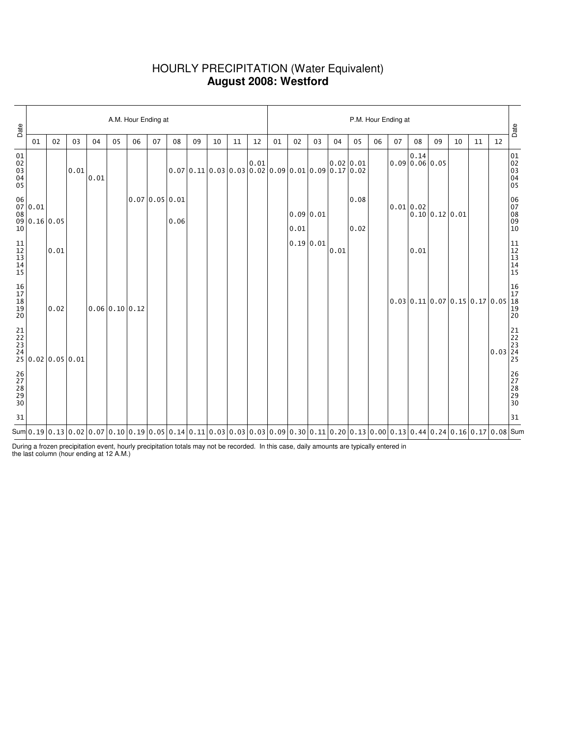## HOURLY PRECIPITATION (Water Equivalent) **August 2008: Westford**

| Date                                 |                                                                                                        | A.M. Hour Ending at |                                                                                            |      |                |    |                |      |                                                        |    |    |    |    |                   | P.M. Hour Ending at |      |                                                                                                                                                                                                                                                                                                                                        |    |    |                                                       |                |                                                          |    |                                                                                   |                                                            |  |  |  |
|--------------------------------------|--------------------------------------------------------------------------------------------------------|---------------------|--------------------------------------------------------------------------------------------|------|----------------|----|----------------|------|--------------------------------------------------------|----|----|----|----|-------------------|---------------------|------|----------------------------------------------------------------------------------------------------------------------------------------------------------------------------------------------------------------------------------------------------------------------------------------------------------------------------------------|----|----|-------------------------------------------------------|----------------|----------------------------------------------------------|----|-----------------------------------------------------------------------------------|------------------------------------------------------------|--|--|--|
|                                      | 01                                                                                                     | 02                  | 03                                                                                         | 04   | 05             | 06 | 07             | 08   | 09                                                     | 10 | 11 | 12 | 01 | 02                | 03                  | 04   | 05                                                                                                                                                                                                                                                                                                                                     | 06 | 07 | 08                                                    | 09             | 10                                                       | 11 | 12                                                                                |                                                            |  |  |  |
| 01<br>02<br>03<br>04<br>04<br>05     |                                                                                                        |                     | 0.01                                                                                       | 0.01 |                |    |                |      | $[0.07] 0.11] 0.03 0.03 0.02 0.09 0.01 0.09 0.17 0.02$ |    |    |    |    |                   |                     |      |                                                                                                                                                                                                                                                                                                                                        |    |    | $0.09\begin{vmatrix} 0.14 \\ 0.06 \end{vmatrix} 0.05$ |                |                                                          |    |                                                                                   | 01<br>02<br>03<br>04<br>05                                 |  |  |  |
|                                      | $\begin{array}{c c} 06 & 0.01 \end{array}$<br>$\begin{bmatrix} 08 \\ 09 \\ 10 \end{bmatrix} 0.16 0.05$ |                     |                                                                                            |      |                |    | 0.07 0.05 0.01 | 0.06 |                                                        |    |    |    |    | 0.09 0.01<br>0.01 |                     |      | 0.08<br>0.02                                                                                                                                                                                                                                                                                                                           |    |    | 0.01 0.02                                             | 0.10 0.12 0.01 |                                                          |    |                                                                                   | 06<br>07<br>08<br>09<br>09<br>10                           |  |  |  |
| $11$<br>$12$<br>$13$<br>$14$<br>$15$ |                                                                                                        | 0.01                |                                                                                            |      |                |    |                |      |                                                        |    |    |    |    | 0.19 0.01         |                     | 0.01 |                                                                                                                                                                                                                                                                                                                                        |    |    | 0.01                                                  |                |                                                          |    |                                                                                   | $\begin{array}{c} 11 \\ 12 \\ 13 \\ 14 \\ 15 \end{array}$  |  |  |  |
| 16<br>17<br>18<br>19<br>19<br>20     |                                                                                                        | 0.02                |                                                                                            |      | 0.06 0.10 0.12 |    |                |      |                                                        |    |    |    |    |                   |                     |      |                                                                                                                                                                                                                                                                                                                                        |    |    |                                                       |                | $0.03 \mid 0.11 \mid 0.07 \mid 0.15 \mid 0.17 \mid 0.05$ |    |                                                                                   | $\begin{array}{ c} 16 \\ 17 \\ 18 \\ 19 \\ 20 \end{array}$ |  |  |  |
|                                      |                                                                                                        |                     | $\begin{array}{c c} 21 & 22 \\ 22 & 23 \\ 24 & 25 \\ 25 & 0.02 \\ 0.05 & 0.01 \end{array}$ |      |                |    |                |      |                                                        |    |    |    |    |                   |                     |      |                                                                                                                                                                                                                                                                                                                                        |    |    |                                                       |                |                                                          |    | $0.03\begin{array}{ c c }\hline 21 \\ 22 \\ 23 \\ 24 \\ 25 \\ \hline \end{array}$ |                                                            |  |  |  |
| 26<br>27<br>28<br>29<br>29<br>30     |                                                                                                        |                     |                                                                                            |      |                |    |                |      |                                                        |    |    |    |    |                   |                     |      |                                                                                                                                                                                                                                                                                                                                        |    |    |                                                       |                |                                                          |    |                                                                                   | 26<br>27<br>28<br>29<br>29<br>30                           |  |  |  |
| 31                                   |                                                                                                        |                     |                                                                                            |      |                |    |                |      |                                                        |    |    |    |    |                   |                     |      |                                                                                                                                                                                                                                                                                                                                        |    |    |                                                       |                |                                                          |    |                                                                                   | 31                                                         |  |  |  |
|                                      |                                                                                                        |                     |                                                                                            |      |                |    |                |      |                                                        |    |    |    |    |                   |                     |      | Sum $\vert$ 0.13 $\vert$ 0.02 $\vert$ 0.07 $\vert$ 0.10 $\vert$ 0.19 $\vert$ 0.05 $\vert$ 0.14 $\vert$ 0.11 $\vert$ 0.03 $\vert$ 0.03 $\vert$ 0.03 $\vert$ 0.03 $\vert$ 0.09 $\vert$ 0.3 $\vert$ 0.11 $\vert$ 0.20 $\vert$ 0.13 $\vert$ 0.00 $\vert$ 0.13 $\vert$ 0.44 $\vert$ 0.24 $\vert$ 0.16 $\vert$ 0.17 $\vert$ 0.08 $\vert$ Sum |    |    |                                                       |                |                                                          |    |                                                                                   |                                                            |  |  |  |

During a frozen precipitation event, hourly precipitation totals may not be recorded. In this case, daily amounts are typically entered in the last column (hour ending at 12 A.M.)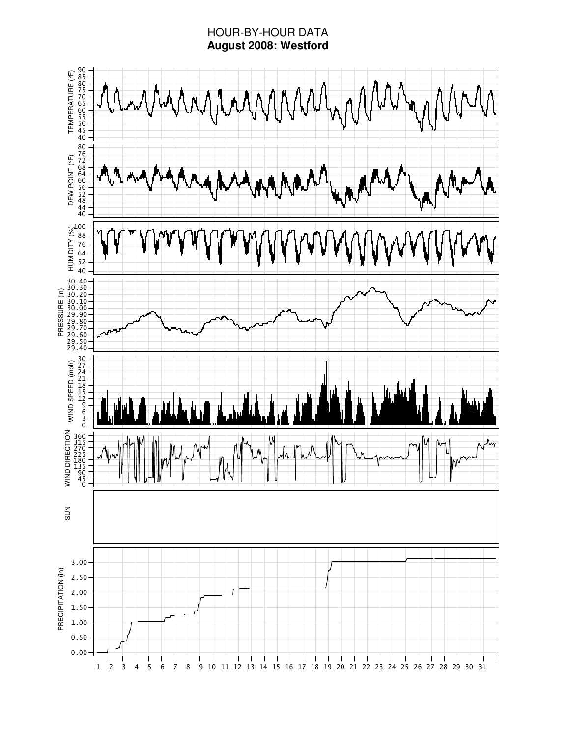# HOUR-BY-HOUR DATA **August 2008: Westford**